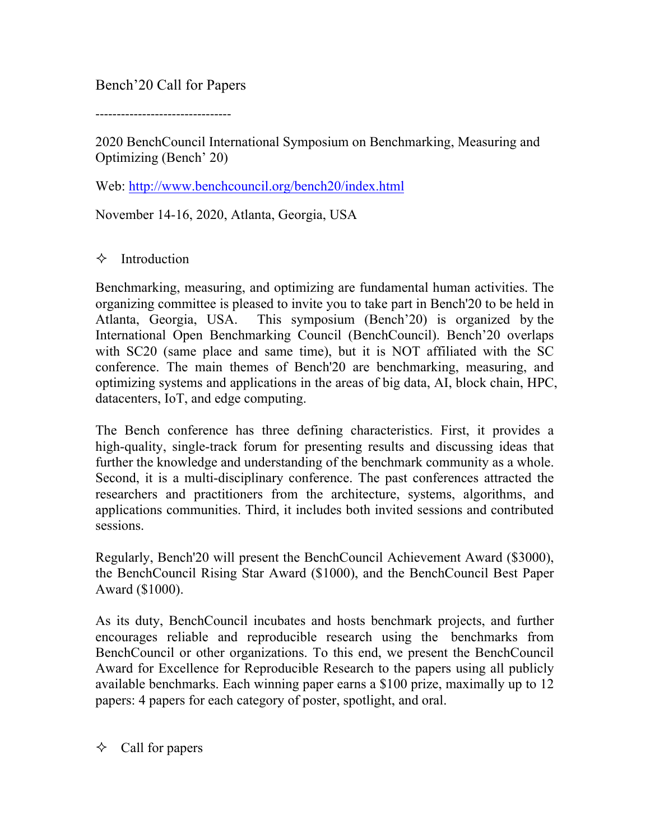Bench'20 Call for Papers

--------------------------------

2020 BenchCouncil International Symposium on Benchmarking, Measuring and Optimizing (Bench' 20)

Web: http://www.benchcouncil.org/bench20/index.html

November 14-16, 2020, Atlanta, Georgia, USA

### $\Diamond$  Introduction

Benchmarking, measuring, and optimizing are fundamental human activities. The organizing committee is pleased to invite you to take part in Bench'20 to be held in Atlanta, Georgia, USA. This symposium (Bench'20) is organized by the International Open Benchmarking Council (BenchCouncil). Bench'20 overlaps with SC20 (same place and same time), but it is NOT affiliated with the SC conference. The main themes of Bench'20 are benchmarking, measuring, and optimizing systems and applications in the areas of big data, AI, block chain, HPC, datacenters, IoT, and edge computing.

The Bench conference has three defining characteristics. First, it provides a high-quality, single-track forum for presenting results and discussing ideas that further the knowledge and understanding of the benchmark community as a whole. Second, it is a multi-disciplinary conference. The past conferences attracted the researchers and practitioners from the architecture, systems, algorithms, and applications communities. Third, it includes both invited sessions and contributed sessions.

Regularly, Bench'20 will present the BenchCouncil Achievement Award (\$3000), the BenchCouncil Rising Star Award (\$1000), and the BenchCouncil Best Paper Award (\$1000).

As its duty, BenchCouncil incubates and hosts benchmark projects, and further encourages reliable and reproducible research using the benchmarks from BenchCouncil or other organizations. To this end, we present the BenchCouncil Award for Excellence for Reproducible Research to the papers using all publicly available benchmarks. Each winning paper earns a \$100 prize, maximally up to 12 papers: 4 papers for each category of poster, spotlight, and oral.

 $\Diamond$  Call for papers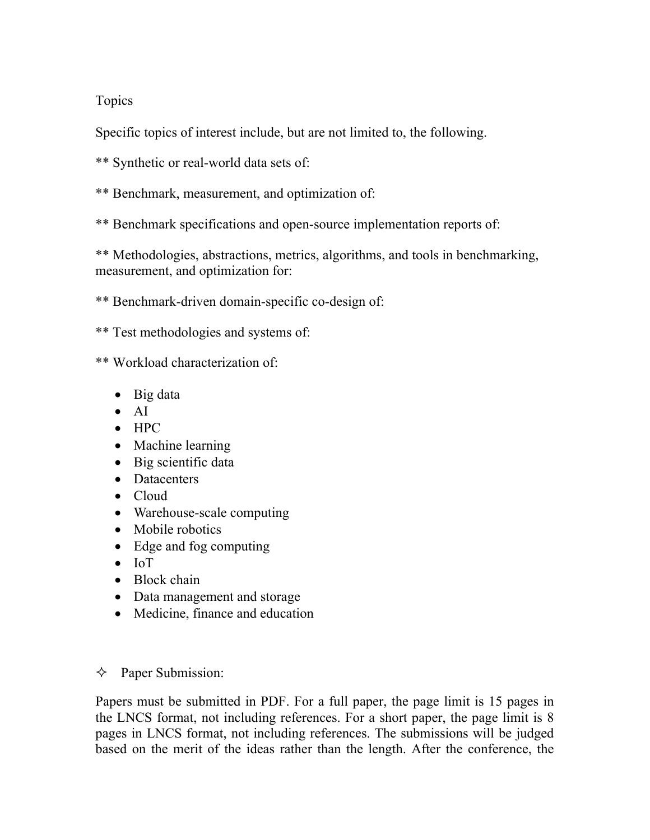# Topics

Specific topics of interest include, but are not limited to, the following.

- \*\* Synthetic or real-world data sets of:
- \*\* Benchmark, measurement, and optimization of:
- \*\* Benchmark specifications and open-source implementation reports of:

\*\* Methodologies, abstractions, metrics, algorithms, and tools in benchmarking, measurement, and optimization for:

\*\* Benchmark-driven domain-specific co-design of:

\*\* Test methodologies and systems of:

\*\* Workload characterization of:

- Big data
- AI
- HPC
- Machine learning
- Big scientific data
- Datacenters
- Cloud
- Warehouse-scale computing
- Mobile robotics
- Edge and fog computing
- IoT
- Block chain
- Data management and storage
- Medicine, finance and education

## $\Diamond$  Paper Submission:

Papers must be submitted in PDF. For a full paper, the page limit is 15 pages in the LNCS format, not including references. For a short paper, the page limit is 8 pages in LNCS format, not including references. The submissions will be judged based on the merit of the ideas rather than the length. After the conference, the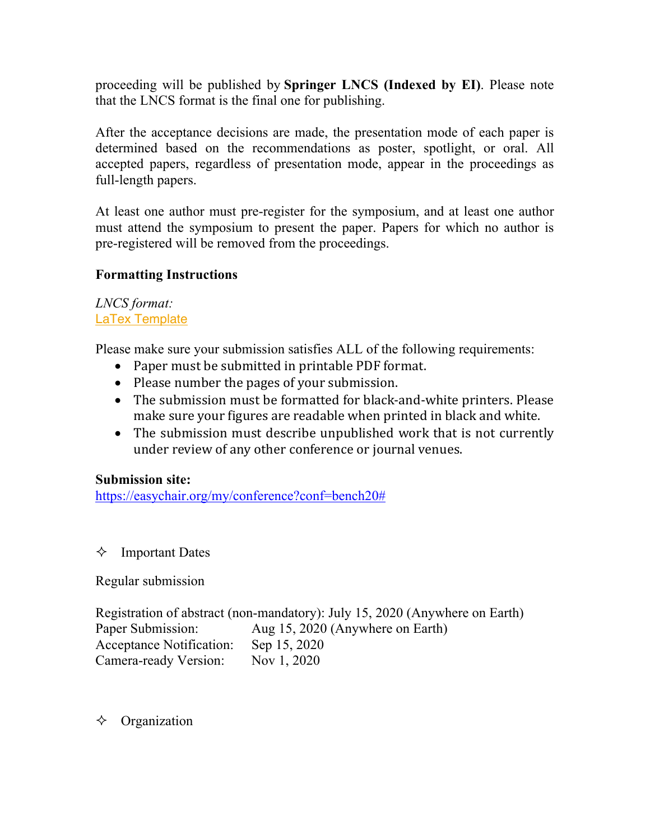proceeding will be published by **Springer LNCS (Indexed by EI)**. Please note that the LNCS format is the final one for publishing.

After the acceptance decisions are made, the presentation mode of each paper is determined based on the recommendations as poster, spotlight, or oral. All accepted papers, regardless of presentation mode, appear in the proceedings as full-length papers.

At least one author must pre-register for the symposium, and at least one author must attend the symposium to present the paper. Papers for which no author is pre-registered will be removed from the proceedings.

### **Formatting Instructions**

#### *LNCS format:* LaTex Template

Please make sure your submission satisfies ALL of the following requirements:

- Paper must be submitted in printable PDF format.
- Please number the pages of your submission.
- The submission must be formatted for black-and-white printers. Please make sure your figures are readable when printed in black and white.
- The submission must describe unpublished work that is not currently under review of any other conference or journal venues.

## **Submission site:**

https://easychair.org/my/conference?conf=bench20#

## $\Diamond$  Important Dates

Regular submission

Registration of abstract (non-mandatory): July 15, 2020 (Anywhere on Earth) Paper Submission: Aug 15, 2020 (Anywhere on Earth) Acceptance Notification: Sep 15, 2020 Camera-ready Version: Nov 1, 2020

## $\Diamond$  Organization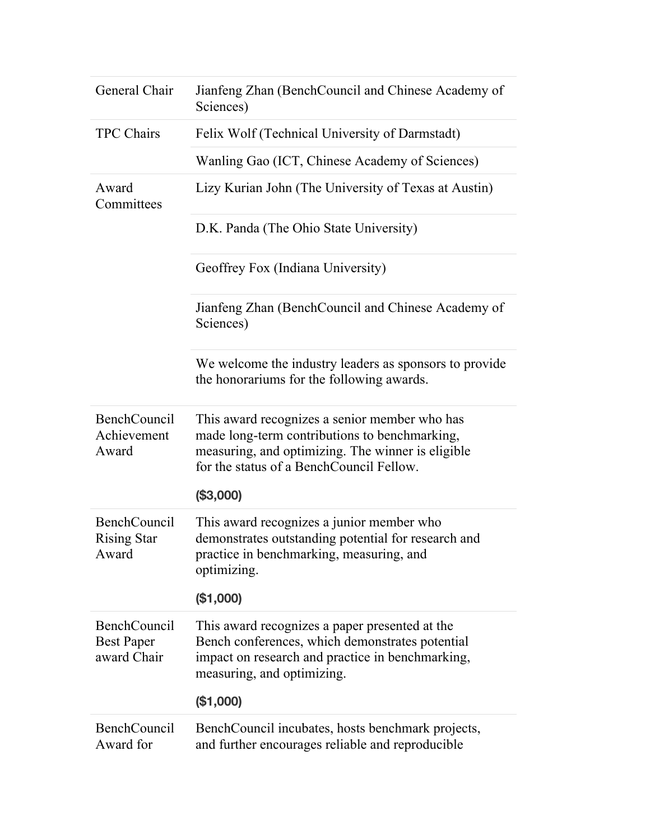| General Chair                                           | Jianfeng Zhan (BenchCouncil and Chinese Academy of<br>Sciences)                                                                                                                                 |
|---------------------------------------------------------|-------------------------------------------------------------------------------------------------------------------------------------------------------------------------------------------------|
| <b>TPC Chairs</b>                                       | Felix Wolf (Technical University of Darmstadt)                                                                                                                                                  |
|                                                         | Wanling Gao (ICT, Chinese Academy of Sciences)                                                                                                                                                  |
| Award<br>Committees                                     | Lizy Kurian John (The University of Texas at Austin)                                                                                                                                            |
|                                                         | D.K. Panda (The Ohio State University)                                                                                                                                                          |
|                                                         | Geoffrey Fox (Indiana University)                                                                                                                                                               |
|                                                         | Jianfeng Zhan (BenchCouncil and Chinese Academy of<br>Sciences)                                                                                                                                 |
|                                                         | We welcome the industry leaders as sponsors to provide<br>the honorariums for the following awards.                                                                                             |
| <b>BenchCouncil</b><br>Achievement<br>Award             | This award recognizes a senior member who has<br>made long-term contributions to benchmarking,<br>measuring, and optimizing. The winner is eligible<br>for the status of a BenchCouncil Fellow. |
|                                                         | (\$3,000)                                                                                                                                                                                       |
| <b>BenchCouncil</b><br><b>Rising Star</b><br>Award      | This award recognizes a junior member who<br>demonstrates outstanding potential for research and<br>practice in benchmarking, measuring, and<br>optimizing.                                     |
|                                                         | (\$1,000)                                                                                                                                                                                       |
| <b>BenchCouncil</b><br><b>Best Paper</b><br>award Chair | This award recognizes a paper presented at the<br>Bench conferences, which demonstrates potential<br>impact on research and practice in benchmarking,<br>measuring, and optimizing.             |
|                                                         | (\$1,000)                                                                                                                                                                                       |
| <b>BenchCouncil</b><br>Award for                        | BenchCouncil incubates, hosts benchmark projects,<br>and further encourages reliable and reproducible                                                                                           |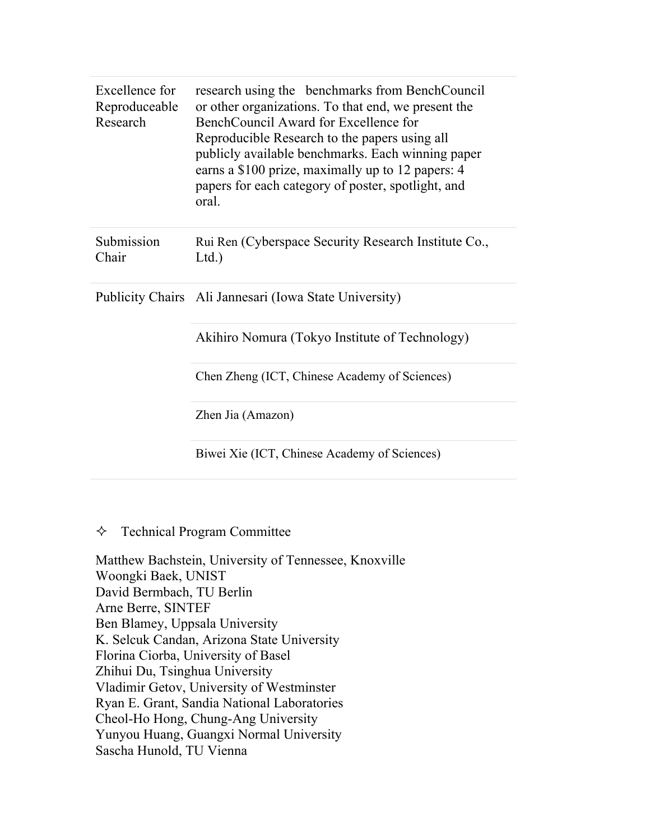| Excellence for<br>Reproduceable<br>Research | research using the benchmarks from BenchCouncil<br>or other organizations. To that end, we present the<br>BenchCouncil Award for Excellence for<br>Reproducible Research to the papers using all<br>publicly available benchmarks. Each winning paper<br>earns a \$100 prize, maximally up to 12 papers: 4<br>papers for each category of poster, spotlight, and<br>oral. |
|---------------------------------------------|---------------------------------------------------------------------------------------------------------------------------------------------------------------------------------------------------------------------------------------------------------------------------------------------------------------------------------------------------------------------------|
| Submission<br>Chair                         | Rui Ren (Cyberspace Security Research Institute Co.,<br>Ltd.                                                                                                                                                                                                                                                                                                              |
|                                             | Publicity Chairs Ali Jannesari (Iowa State University)                                                                                                                                                                                                                                                                                                                    |
|                                             | Akihiro Nomura (Tokyo Institute of Technology)                                                                                                                                                                                                                                                                                                                            |
|                                             | Chen Zheng (ICT, Chinese Academy of Sciences)                                                                                                                                                                                                                                                                                                                             |
|                                             | Zhen Jia (Amazon)                                                                                                                                                                                                                                                                                                                                                         |
|                                             | Biwei Xie (ICT, Chinese Academy of Sciences)                                                                                                                                                                                                                                                                                                                              |

#### $\Diamond$  Technical Program Committee

Matthew Bachstein, University of Tennessee, Knoxville Woongki Baek, UNIST David Bermbach, TU Berlin Arne Berre, SINTEF Ben Blamey, Uppsala University K. Selcuk Candan, Arizona State University Florina Ciorba, University of Basel Zhihui Du, Tsinghua University Vladimir Getov, University of Westminster Ryan E. Grant, Sandia National Laboratories Cheol-Ho Hong, Chung-Ang University Yunyou Huang, Guangxi Normal University Sascha Hunold, TU Vienna